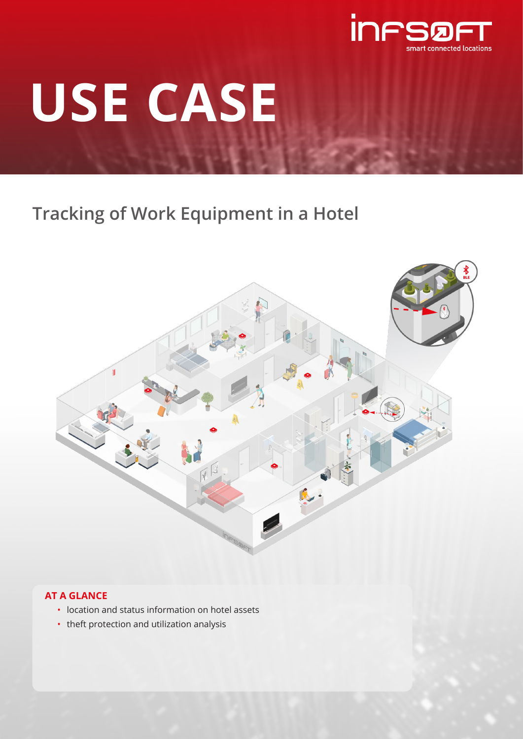

# **USE CASE**

# **Tracking of Work Equipment in a Hotel**



## **AT A GLANCE**

- location and status information on hotel assets
- theft protection and utilization analysis